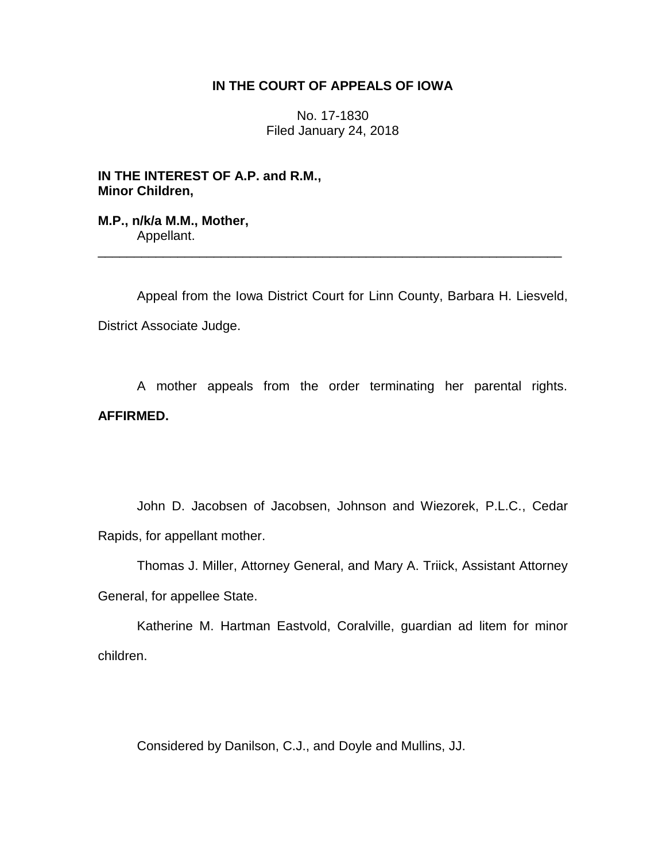## **IN THE COURT OF APPEALS OF IOWA**

No. 17-1830 Filed January 24, 2018

**IN THE INTEREST OF A.P. and R.M., Minor Children,**

**M.P., n/k/a M.M., Mother,** Appellant.

Appeal from the Iowa District Court for Linn County, Barbara H. Liesveld, District Associate Judge.

\_\_\_\_\_\_\_\_\_\_\_\_\_\_\_\_\_\_\_\_\_\_\_\_\_\_\_\_\_\_\_\_\_\_\_\_\_\_\_\_\_\_\_\_\_\_\_\_\_\_\_\_\_\_\_\_\_\_\_\_\_\_\_\_

A mother appeals from the order terminating her parental rights. **AFFIRMED.** 

John D. Jacobsen of Jacobsen, Johnson and Wiezorek, P.L.C., Cedar Rapids, for appellant mother.

Thomas J. Miller, Attorney General, and Mary A. Triick, Assistant Attorney General, for appellee State.

Katherine M. Hartman Eastvold, Coralville, guardian ad litem for minor children.

Considered by Danilson, C.J., and Doyle and Mullins, JJ.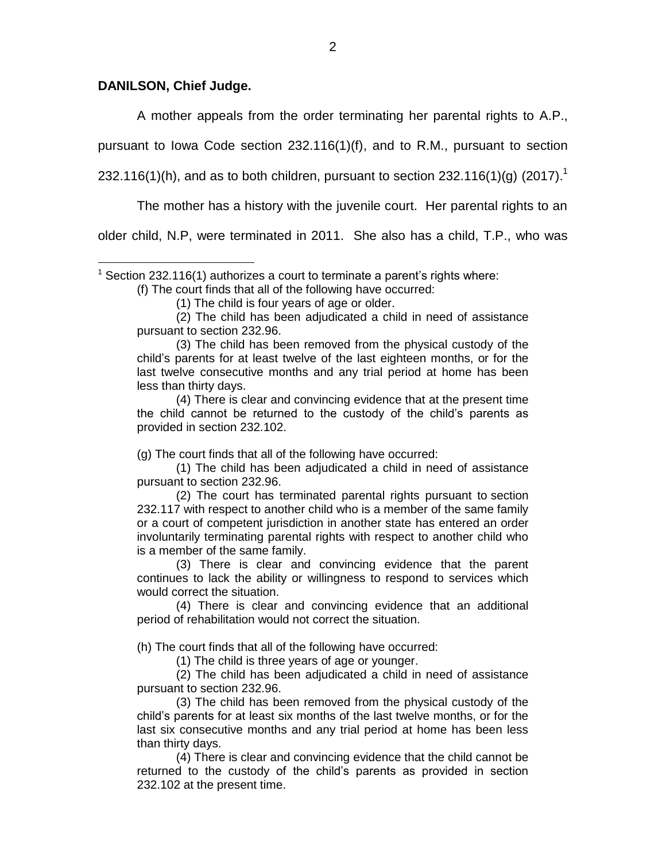## **DANILSON, Chief Judge.**

 $\overline{a}$ 

A mother appeals from the order terminating her parental rights to A.P.,

pursuant to Iowa Code section 232.116(1)(f), and to R.M., pursuant to section

232.116(1)(h), and as to both children, pursuant to section 232.116(1)(g) (2017).<sup>1</sup>

The mother has a history with the juvenile court. Her parental rights to an

older child, N.P, were terminated in 2011. She also has a child, T.P., who was

(f) The court finds that all of the following have occurred:

(2) The child has been adjudicated a child in need of assistance pursuant to section 232.96.

(3) The child has been removed from the physical custody of the child's parents for at least twelve of the last eighteen months, or for the last twelve consecutive months and any trial period at home has been less than thirty days.

(4) There is clear and convincing evidence that at the present time the child cannot be returned to the custody of the child's parents as provided in section 232.102.

(g) The court finds that all of the following have occurred:

(1) The child has been adjudicated a child in need of assistance pursuant to section 232.96.

(2) The court has terminated parental rights pursuant to section 232.117 with respect to another child who is a member of the same family or a court of competent jurisdiction in another state has entered an order involuntarily terminating parental rights with respect to another child who is a member of the same family.

(3) There is clear and convincing evidence that the parent continues to lack the ability or willingness to respond to services which would correct the situation.

(4) There is clear and convincing evidence that an additional period of rehabilitation would not correct the situation.

(h) The court finds that all of the following have occurred:

(1) The child is three years of age or younger.

(2) The child has been adjudicated a child in need of assistance pursuant to section 232.96.

(3) The child has been removed from the physical custody of the child's parents for at least six months of the last twelve months, or for the last six consecutive months and any trial period at home has been less than thirty days.

(4) There is clear and convincing evidence that the child cannot be returned to the custody of the child's parents as provided in section 232.102 at the present time.

<sup>&</sup>lt;sup>1</sup> Section 232.116(1) authorizes a court to terminate a parent's rights where:

<sup>(1)</sup> The child is four years of age or older.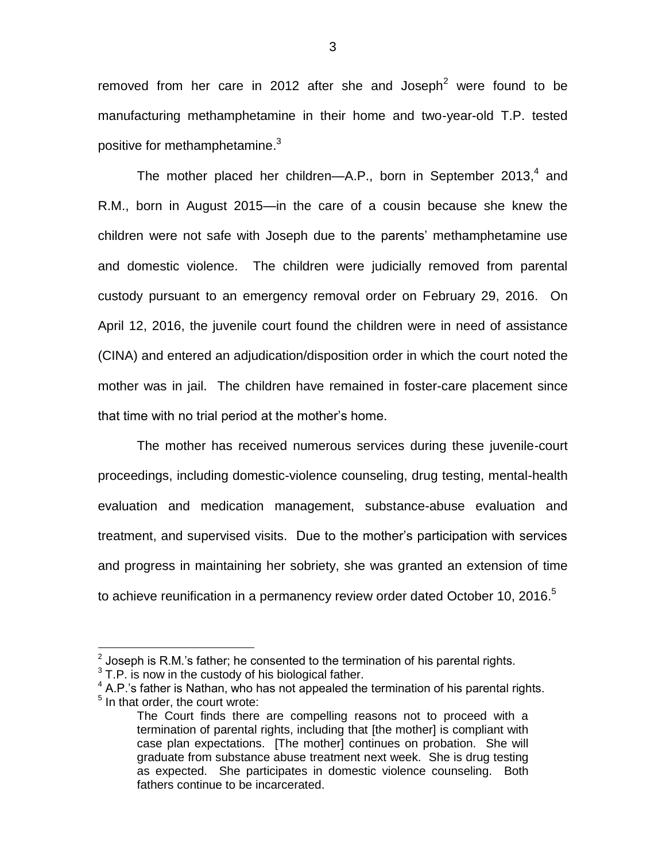removed from her care in 2012 after she and Joseph<sup>2</sup> were found to be manufacturing methamphetamine in their home and two-year-old T.P. tested positive for methamphetamine.<sup>3</sup>

The mother placed her children—A.P., born in September 2013,<sup>4</sup> and R.M., born in August 2015—in the care of a cousin because she knew the children were not safe with Joseph due to the parents' methamphetamine use and domestic violence. The children were judicially removed from parental custody pursuant to an emergency removal order on February 29, 2016. On April 12, 2016, the juvenile court found the children were in need of assistance (CINA) and entered an adjudication/disposition order in which the court noted the mother was in jail. The children have remained in foster-care placement since that time with no trial period at the mother's home.

The mother has received numerous services during these juvenile-court proceedings, including domestic-violence counseling, drug testing, mental-health evaluation and medication management, substance-abuse evaluation and treatment, and supervised visits. Due to the mother's participation with services and progress in maintaining her sobriety, she was granted an extension of time to achieve reunification in a permanency review order dated October 10, 2016.<sup>5</sup>

 $\overline{a}$ 

 $2$  Joseph is R.M.'s father; he consented to the termination of his parental rights.

 $3$  T.P. is now in the custody of his biological father.

 $4$  A.P.'s father is Nathan, who has not appealed the termination of his parental rights. <sup>5</sup> In that order, the court wrote:

The Court finds there are compelling reasons not to proceed with a termination of parental rights, including that [the mother] is compliant with case plan expectations. [The mother] continues on probation. She will graduate from substance abuse treatment next week. She is drug testing as expected. She participates in domestic violence counseling. Both fathers continue to be incarcerated.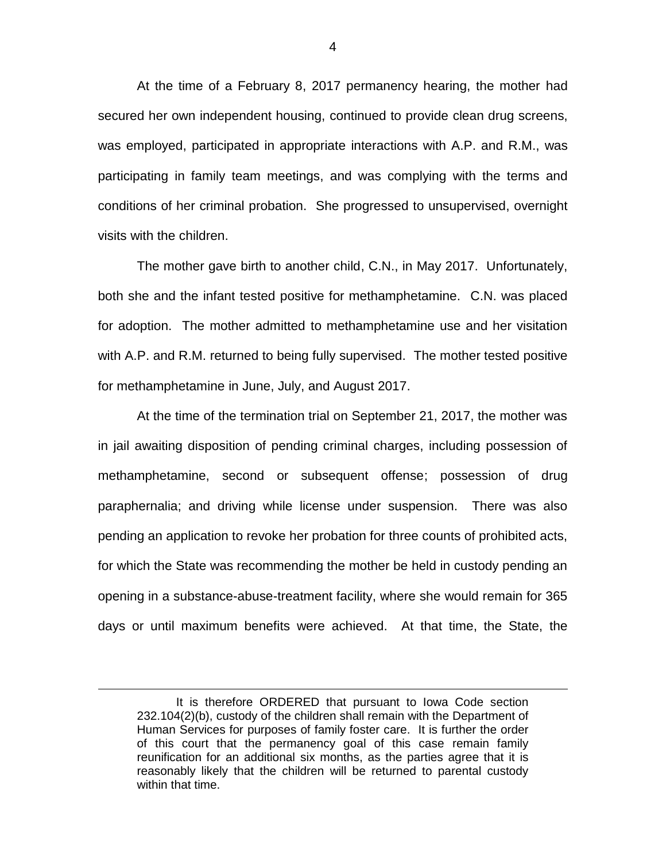At the time of a February 8, 2017 permanency hearing, the mother had secured her own independent housing, continued to provide clean drug screens, was employed, participated in appropriate interactions with A.P. and R.M., was participating in family team meetings, and was complying with the terms and conditions of her criminal probation. She progressed to unsupervised, overnight visits with the children.

The mother gave birth to another child, C.N., in May 2017. Unfortunately, both she and the infant tested positive for methamphetamine. C.N. was placed for adoption. The mother admitted to methamphetamine use and her visitation with A.P. and R.M. returned to being fully supervised. The mother tested positive for methamphetamine in June, July, and August 2017.

At the time of the termination trial on September 21, 2017, the mother was in jail awaiting disposition of pending criminal charges, including possession of methamphetamine, second or subsequent offense; possession of drug paraphernalia; and driving while license under suspension. There was also pending an application to revoke her probation for three counts of prohibited acts, for which the State was recommending the mother be held in custody pending an opening in a substance-abuse-treatment facility, where she would remain for 365 days or until maximum benefits were achieved. At that time, the State, the

 $\overline{a}$ 

It is therefore ORDERED that pursuant to Iowa Code section 232.104(2)(b), custody of the children shall remain with the Department of Human Services for purposes of family foster care. It is further the order of this court that the permanency goal of this case remain family reunification for an additional six months, as the parties agree that it is reasonably likely that the children will be returned to parental custody within that time.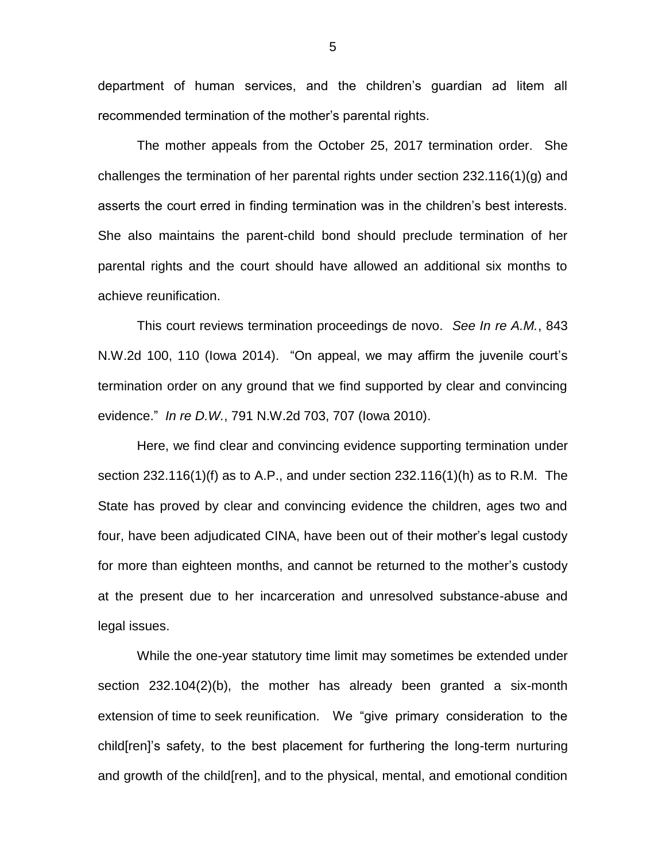department of human services, and the children's guardian ad litem all recommended termination of the mother's parental rights.

The mother appeals from the October 25, 2017 termination order. She challenges the termination of her parental rights under section 232.116(1)(g) and asserts the court erred in finding termination was in the children's best interests. She also maintains the parent-child bond should preclude termination of her parental rights and the court should have allowed an additional six months to achieve reunification.

This court reviews termination proceedings de novo. *See In re A.M.*, 843 N.W.2d 100, 110 (Iowa 2014). "On appeal, we may affirm the juvenile court's termination order on any ground that we find supported by clear and convincing evidence." *In re D.W.*, 791 N.W.2d 703, 707 (Iowa 2010).

Here, we find clear and convincing evidence supporting termination under section 232.116(1)(f) as to A.P., and under section 232.116(1)(h) as to R.M. The State has proved by clear and convincing evidence the children, ages two and four, have been adjudicated CINA, have been out of their mother's legal custody for more than eighteen months, and cannot be returned to the mother's custody at the present due to her incarceration and unresolved substance-abuse and legal issues.

While the one-year statutory time limit may sometimes be extended under section 232.104(2)(b), the mother has already been granted a six-month extension of time to seek reunification. We "give primary consideration to the child[ren]'s safety, to the best placement for furthering the long-term nurturing and growth of the child[ren], and to the physical, mental, and emotional condition